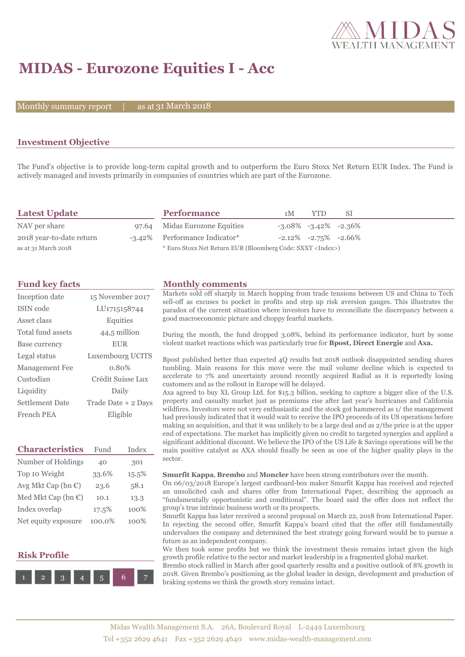

# **MIDAS - Eurozone Equities I - Acc**

Monthly summary report  $\|$ 

as at 31 March 2018

## **Investment Objective**

The Fund's objective is to provide long-term capital growth and to outperform the Euro Stoxx Net Return EUR Index. The Fund is actively managed and invests primarily in companies of countries which are part of the Eurozone.

| <b>Latest Update</b>     | <b>Performance</b>                                                 | 1 M | YTD.                          | -SI |  |
|--------------------------|--------------------------------------------------------------------|-----|-------------------------------|-----|--|
| NAV per share            | 97.64 Midas Eurozone Equities                                      |     | $-3.08\%$ $-3.42\%$ $-2.36\%$ |     |  |
| 2018 year-to-date return | -3.42% Performance Indicator*                                      |     | $-2.12\%$ $-2.75\%$ $-2.66\%$ |     |  |
| as at 31 March 2018      | * Euro Stoxx Net Return EUR (Bloomberg Code: SXXT <index>)</index> |     |                               |     |  |

| Inception date    | 15 November 2017          |
|-------------------|---------------------------|
| <b>ISIN</b> code  | LU <sub>171515</sub> 8744 |
| Asset class       | Equities                  |
| Total fund assets | 44,5 million              |
| Base currency     | <b>EUR</b>                |
| Legal status      | Luxembourg UCITS          |
| Management Fee    | 0.80%                     |
| Custodian         | Crédit Suisse Lux         |
| Liquidity         | Daily                     |
| Settlement Date   | Trade Date + 2 Days       |
| French PEA        | Eligible                  |

| <b>Characteristics</b>         | Fund   | Index |  |
|--------------------------------|--------|-------|--|
| Number of Holdings             | 40     | 301   |  |
| Top 10 Weight                  | 33.6%  | 15.5% |  |
| Avg Mkt Cap (bn $\epsilon$ )   | 23.6   | 58.1  |  |
| Med Mkt Cap (bn $\mathbb{C}$ ) | 10.1   | 13.3  |  |
| Index overlap                  | 17.5%  | 100%  |  |
| Net equity exposure            | 100.0% | 100%  |  |

### **Risk Profile**



### **Fund key facts Monthly comments**

Markets sold off sharply in March hopping from trade tensions between US and China to Tech sell-off as excuses to pocket in profits and step up risk aversion gauges. This illustrates the paradox of the current situation where investors have to reconciliate the discrepancy between a good macroeconomic picture and choppy fearful markets.

During the month, the fund dropped 3.08%, behind its performance indicator, hurt by some violent market reactions which was particularly true for **Bpost, Direct Energie** and **Axa.**

Bpost published better than expected 4Q results but 2018 outlook disappointed sending shares tumbling. Main reasons for this move were the mail volume decline which is expected to accelerate to 7% and uncertainty around recently acquired Radial as it is reportedly losing customers and as the rollout in Europe will be delayed.

Axa agreed to buy XL Group Ltd. for \$15.3 billion, seeking to capture a bigger slice of the U.S. property and casualty market just as premiums rise after last year's hurricanes and California wildfires. Investors were not very enthusiastic and the stock got hammered as 1/ the management had previously indicated that it would wait to receive the IPO proceeds of its US operations before making an acquisition, and that it was unlikely to be a large deal and as 2/the price is at the upper end of expectations. The market has implicitly given no credit to targeted synergies and applied a significant additional discount. We believe the IPO of the US Life & Savings operations will be the main positive catalyst as AXA should finally be seen as one of the higher quality plays in the sector.

#### **Smurfit Kappa**, **Brembo** and **Moncler** have been strong contributors over the month.

On 06/03/2018 Europe's largest cardboard-box maker Smurfit Kappa has received and rejected an unsolicited cash and shares offer from International Paper, describing the approach as "fundamentally opportunistic and conditional". The board said the offer does not reflect the group's true intrinsic business worth or its prospects.

Smurfit Kappa has later received a second proposal on March 22, 2018 from International Paper. In rejecting the second offer, Smurfit Kappa's board cited that the offer still fundamentally undervalues the company and determined the best strategy going forward would be to pursue a future as an independent company.

We then took some profits but we think the investment thesis remains intact given the high growth profile relative to the sector and market leadership in a fragmented global market.

Brembo stock rallied in March after good quarterly results and a positive outlook of 8% growth in 2018. Given Brembo's positioning as the global leader in design, development and production of braking systems we think the growth story remains intact.